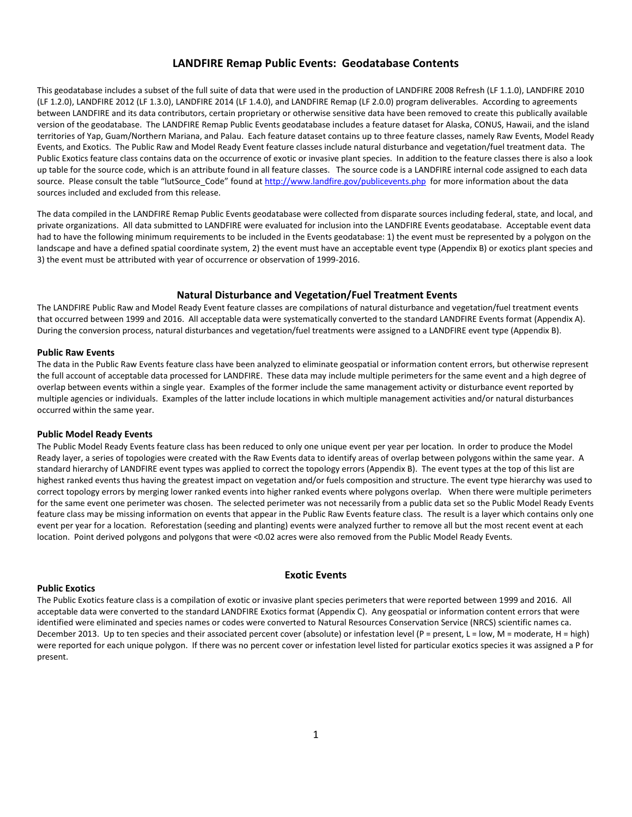## **LANDFIRE Remap Public Events: Geodatabase Contents**

This geodatabase includes a subset of the full suite of data that were used in the production of LANDFIRE 2008 Refresh (LF 1.1.0), LANDFIRE 2010 (LF 1.2.0), LANDFIRE 2012 (LF 1.3.0), LANDFIRE 2014 (LF 1.4.0), and LANDFIRE Remap (LF 2.0.0) program deliverables. According to agreements between LANDFIRE and its data contributors, certain proprietary or otherwise sensitive data have been removed to create this publically available version of the geodatabase. The LANDFIRE Remap Public Events geodatabase includes a feature dataset for Alaska, CONUS, Hawaii, and the island territories of Yap, Guam/Northern Mariana, and Palau. Each feature dataset contains up to three feature classes, namely Raw Events, Model Ready Events, and Exotics. The Public Raw and Model Ready Event feature classes include natural disturbance and vegetation/fuel treatment data. The Public Exotics feature class contains data on the occurrence of exotic or invasive plant species. In addition to the feature classes there is also a look up table for the source code, which is an attribute found in all feature classes. The source code is a LANDFIRE internal code assigned to each data source. Please consult the table "lutSource\_Code" found a[t http://www.landfire.gov/publicevents.php](http://www.landfire.gov/publicevents.php) for more information about the data sources included and excluded from this release.

The data compiled in the LANDFIRE Remap Public Events geodatabase were collected from disparate sources including federal, state, and local, and private organizations. All data submitted to LANDFIRE were evaluated for inclusion into the LANDFIRE Events geodatabase. Acceptable event data had to have the following minimum requirements to be included in the Events geodatabase: 1) the event must be represented by a polygon on the landscape and have a defined spatial coordinate system, 2) the event must have an acceptable event type (Appendix B) or exotics plant species and 3) the event must be attributed with year of occurrence or observation of 1999-2016.

## **Natural Disturbance and Vegetation/Fuel Treatment Events**

The LANDFIRE Public Raw and Model Ready Event feature classes are compilations of natural disturbance and vegetation/fuel treatment events that occurred between 1999 and 2016. All acceptable data were systematically converted to the standard LANDFIRE Events format (Appendix A). During the conversion process, natural disturbances and vegetation/fuel treatments were assigned to a LANDFIRE event type (Appendix B).

### **Public Raw Events**

The data in the Public Raw Events feature class have been analyzed to eliminate geospatial or information content errors, but otherwise represent the full account of acceptable data processed for LANDFIRE. These data may include multiple perimeters for the same event and a high degree of overlap between events within a single year. Examples of the former include the same management activity or disturbance event reported by multiple agencies or individuals. Examples of the latter include locations in which multiple management activities and/or natural disturbances occurred within the same year.

#### **Public Model Ready Events**

The Public Model Ready Events feature class has been reduced to only one unique event per year per location. In order to produce the Model Ready layer, a series of topologies were created with the Raw Events data to identify areas of overlap between polygons within the same year. A standard hierarchy of LANDFIRE event types was applied to correct the topology errors (Appendix B). The event types at the top of this list are highest ranked events thus having the greatest impact on vegetation and/or fuels composition and structure. The event type hierarchy was used to correct topology errors by merging lower ranked events into higher ranked events where polygons overlap. When there were multiple perimeters for the same event one perimeter was chosen. The selected perimeter was not necessarily from a public data set so the Public Model Ready Events feature class may be missing information on events that appear in the Public Raw Events feature class. The result is a layer which contains only one event per year for a location. Reforestation (seeding and planting) events were analyzed further to remove all but the most recent event at each location. Point derived polygons and polygons that were <0.02 acres were also removed from the Public Model Ready Events.

#### **Public Exotics**

## **Exotic Events**

The Public Exotics feature class is a compilation of exotic or invasive plant species perimeters that were reported between 1999 and 2016. All acceptable data were converted to the standard LANDFIRE Exotics format (Appendix C). Any geospatial or information content errors that were identified were eliminated and species names or codes were converted to Natural Resources Conservation Service (NRCS) scientific names ca. December 2013. Up to ten species and their associated percent cover (absolute) or infestation level (P = present, L = low, M = moderate, H = high) were reported for each unique polygon. If there was no percent cover or infestation level listed for particular exotics species it was assigned a P for present.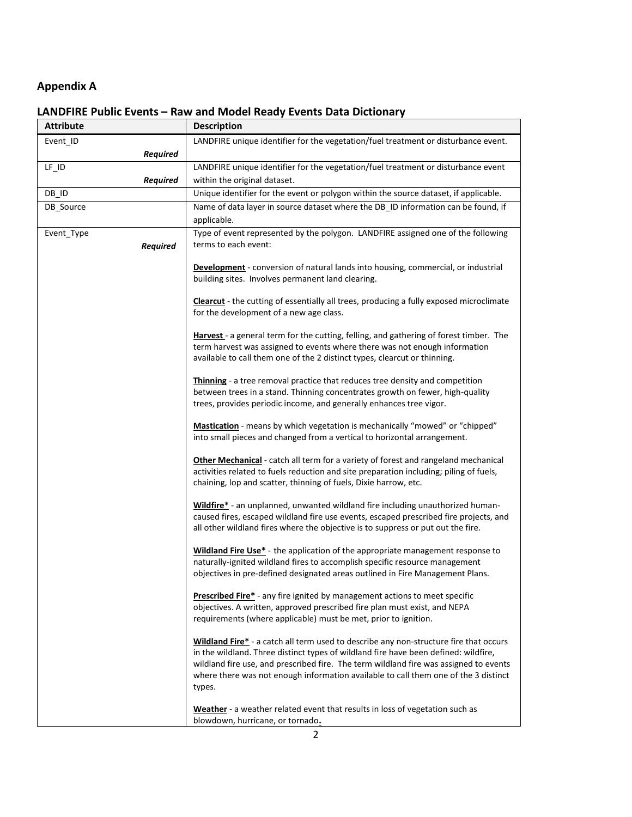# **Appendix A**

# **LANDFIRE Public Events – Raw and Model Ready Events Data Dictionary**

| <b>Attribute</b> |                 | <b>Description</b>                                                                                                                                                                                                                                                                                                                                                     |
|------------------|-----------------|------------------------------------------------------------------------------------------------------------------------------------------------------------------------------------------------------------------------------------------------------------------------------------------------------------------------------------------------------------------------|
| Event_ID         |                 | LANDFIRE unique identifier for the vegetation/fuel treatment or disturbance event.                                                                                                                                                                                                                                                                                     |
|                  | <b>Required</b> |                                                                                                                                                                                                                                                                                                                                                                        |
| $LF$ $ID$        |                 | LANDFIRE unique identifier for the vegetation/fuel treatment or disturbance event                                                                                                                                                                                                                                                                                      |
|                  | <b>Required</b> | within the original dataset.                                                                                                                                                                                                                                                                                                                                           |
| DB ID            |                 | Unique identifier for the event or polygon within the source dataset, if applicable.                                                                                                                                                                                                                                                                                   |
| DB_Source        |                 | Name of data layer in source dataset where the DB_ID information can be found, if<br>applicable.                                                                                                                                                                                                                                                                       |
| Event_Type       | <b>Required</b> | Type of event represented by the polygon. LANDFIRE assigned one of the following<br>terms to each event:                                                                                                                                                                                                                                                               |
|                  |                 | <b>Development</b> - conversion of natural lands into housing, commercial, or industrial<br>building sites. Involves permanent land clearing.                                                                                                                                                                                                                          |
|                  |                 | <b>Clearcut</b> - the cutting of essentially all trees, producing a fully exposed microclimate<br>for the development of a new age class.                                                                                                                                                                                                                              |
|                  |                 | Harvest - a general term for the cutting, felling, and gathering of forest timber. The<br>term harvest was assigned to events where there was not enough information<br>available to call them one of the 2 distinct types, clearcut or thinning.                                                                                                                      |
|                  |                 | Thinning - a tree removal practice that reduces tree density and competition<br>between trees in a stand. Thinning concentrates growth on fewer, high-quality<br>trees, provides periodic income, and generally enhances tree vigor.                                                                                                                                   |
|                  |                 | Mastication - means by which vegetation is mechanically "mowed" or "chipped"<br>into small pieces and changed from a vertical to horizontal arrangement.                                                                                                                                                                                                               |
|                  |                 | Other Mechanical - catch all term for a variety of forest and rangeland mechanical<br>activities related to fuels reduction and site preparation including; piling of fuels,<br>chaining, lop and scatter, thinning of fuels, Dixie harrow, etc.                                                                                                                       |
|                  |                 | Wildfire* - an unplanned, unwanted wildland fire including unauthorized human-<br>caused fires, escaped wildland fire use events, escaped prescribed fire projects, and<br>all other wildland fires where the objective is to suppress or put out the fire.                                                                                                            |
|                  |                 | Wildland Fire Use* - the application of the appropriate management response to<br>naturally-ignited wildland fires to accomplish specific resource management<br>objectives in pre-defined designated areas outlined in Fire Management Plans.                                                                                                                         |
|                  |                 | <b>Prescribed Fire*</b> - any fire ignited by management actions to meet specific<br>objectives. A written, approved prescribed fire plan must exist, and NEPA<br>requirements (where applicable) must be met, prior to ignition.                                                                                                                                      |
|                  |                 | Wildland Fire* - a catch all term used to describe any non-structure fire that occurs<br>in the wildland. Three distinct types of wildland fire have been defined: wildfire,<br>wildland fire use, and prescribed fire. The term wildland fire was assigned to events<br>where there was not enough information available to call them one of the 3 distinct<br>types. |
|                  |                 | Weather - a weather related event that results in loss of vegetation such as<br>blowdown, hurricane, or tornado.                                                                                                                                                                                                                                                       |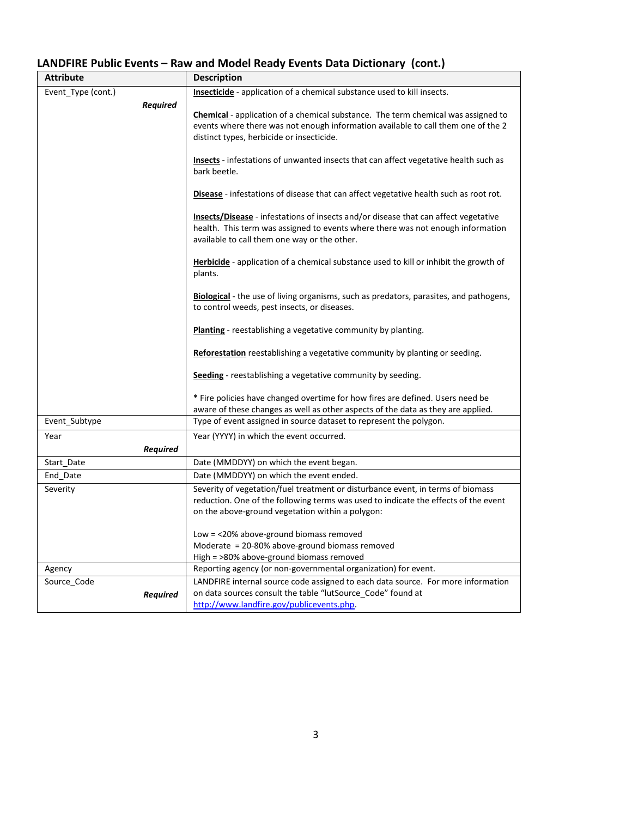# **LANDFIRE Public Events – Raw and Model Ready Events Data Dictionary (cont.)**

| <b>Attribute</b>   | <b>Description</b>                                                                                                                                                            |
|--------------------|-------------------------------------------------------------------------------------------------------------------------------------------------------------------------------|
| Event Type (cont.) | <b>Insecticide</b> - application of a chemical substance used to kill insects.                                                                                                |
| <b>Required</b>    |                                                                                                                                                                               |
|                    | <b>Chemical</b> - application of a chemical substance. The term chemical was assigned to<br>events where there was not enough information available to call them one of the 2 |
|                    | distinct types, herbicide or insecticide.                                                                                                                                     |
|                    |                                                                                                                                                                               |
|                    | Insects - infestations of unwanted insects that can affect vegetative health such as                                                                                          |
|                    | bark beetle.                                                                                                                                                                  |
|                    | Disease - infestations of disease that can affect vegetative health such as root rot.                                                                                         |
|                    |                                                                                                                                                                               |
|                    | <b>Insects/Disease</b> - infestations of insects and/or disease that can affect vegetative                                                                                    |
|                    | health. This term was assigned to events where there was not enough information                                                                                               |
|                    | available to call them one way or the other.                                                                                                                                  |
|                    | <b>Herbicide</b> - application of a chemical substance used to kill or inhibit the growth of                                                                                  |
|                    | plants.                                                                                                                                                                       |
|                    |                                                                                                                                                                               |
|                    | <b>Biological</b> - the use of living organisms, such as predators, parasites, and pathogens,<br>to control weeds, pest insects, or diseases.                                 |
|                    |                                                                                                                                                                               |
|                    | <b>Planting</b> - reestablishing a vegetative community by planting.                                                                                                          |
|                    |                                                                                                                                                                               |
|                    | <b>Reforestation</b> reestablishing a vegetative community by planting or seeding.                                                                                            |
|                    | <b>Seeding</b> - reestablishing a vegetative community by seeding.                                                                                                            |
|                    |                                                                                                                                                                               |
|                    | * Fire policies have changed overtime for how fires are defined. Users need be                                                                                                |
| Event Subtype      | aware of these changes as well as other aspects of the data as they are applied.<br>Type of event assigned in source dataset to represent the polygon.                        |
| Year               | Year (YYYY) in which the event occurred.                                                                                                                                      |
| <b>Required</b>    |                                                                                                                                                                               |
| Start Date         | Date (MMDDYY) on which the event began.                                                                                                                                       |
| End Date           | Date (MMDDYY) on which the event ended.                                                                                                                                       |
| Severity           | Severity of vegetation/fuel treatment or disturbance event, in terms of biomass                                                                                               |
|                    | reduction. One of the following terms was used to indicate the effects of the event                                                                                           |
|                    | on the above-ground vegetation within a polygon:                                                                                                                              |
|                    | Low = <20% above-ground biomass removed                                                                                                                                       |
|                    | Moderate $= 20-80\%$ above-ground biomass removed                                                                                                                             |
|                    | High = >80% above-ground biomass removed                                                                                                                                      |
| Agency             | Reporting agency (or non-governmental organization) for event.                                                                                                                |
| Source Code        | LANDFIRE internal source code assigned to each data source. For more information                                                                                              |
| <b>Required</b>    | on data sources consult the table "lutSource_Code" found at                                                                                                                   |
|                    | http://www.landfire.gov/publicevents.php.                                                                                                                                     |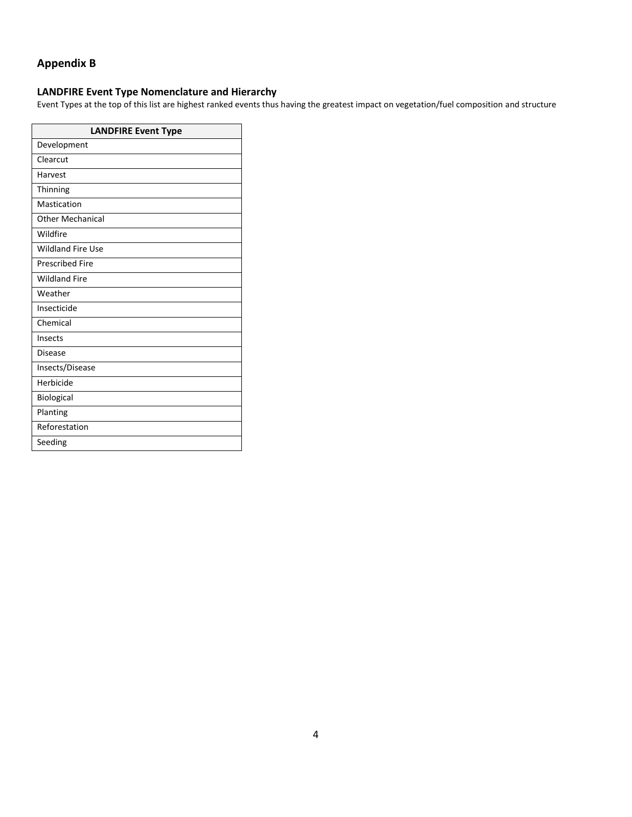## **Appendix B**

## **LANDFIRE Event Type Nomenclature and Hierarchy**

Event Types at the top of this list are highest ranked events thus having the greatest impact on vegetation/fuel composition and structure

| <b>LANDFIRE Event Type</b> |  |  |  |
|----------------------------|--|--|--|
| Development                |  |  |  |
| Clearcut                   |  |  |  |
| Harvest                    |  |  |  |
| Thinning                   |  |  |  |
| Mastication                |  |  |  |
| <b>Other Mechanical</b>    |  |  |  |
| Wildfire                   |  |  |  |
| <b>Wildland Fire Use</b>   |  |  |  |
| <b>Prescribed Fire</b>     |  |  |  |
| <b>Wildland Fire</b>       |  |  |  |
| Weather                    |  |  |  |
| Insecticide                |  |  |  |
| Chemical                   |  |  |  |
| Insects                    |  |  |  |
| <b>Disease</b>             |  |  |  |
| Insects/Disease            |  |  |  |
| Herbicide                  |  |  |  |
| <b>Biological</b>          |  |  |  |
| Planting                   |  |  |  |
| Reforestation              |  |  |  |
| Seeding                    |  |  |  |